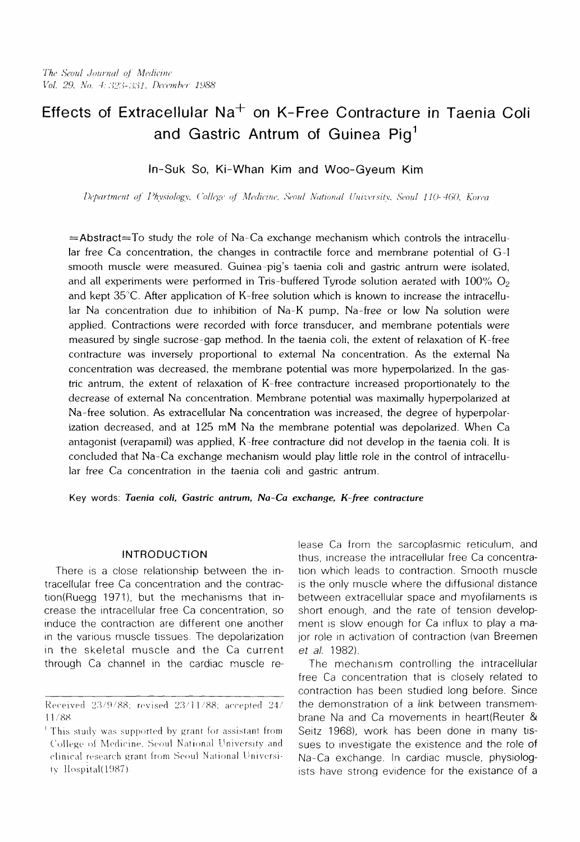# Effects of Extracellular  $Na<sup>+</sup>$  on K-Free Contracture in Taenia Coli and Gastric Antrum of Guinea  $Pi_1^1$

# In-Suk So, Ki-Whan Kim and Woo-Gyeum Kim

*Department (i! Physiology, College* 4 *Medicine, Scou! National Uniivtsitv. Seou! 110-460. Korea*

 $=$ Abstract=To study the role of Na-Ca exchange mechanism which controls the intracellular free Ca concentration, the changes in contractile force and membrane potential of G-I smooth muscle were measured. Guinea-pig's taenia coli and gastric antrum were isolated, and all experiments were performed in Tris-buffered Tyrode solution aerated with  $100\%$  O<sub>2</sub> and kept 35"C. After application of K-free solution which is known to increase the intracellular Na concentration due to inhibition of Na-K pump, Na-free or low Na solution were applied. Contractions were recorded with force transducer, and membrane potentials were measured by single sucrose-gap method. In the taenia coli, the extent of relaxation of K-free contracture was inversely proportional to external Na concentration. As the external Na concentration was decreased, the membrane potential was more hyperpolarized. In the gastric antrum, the extent of relaxation of K-free contracture increased proportionately to the decrease of external Na concentration. Membrane potential was maximally hyperpolarized at Na-free solution. As extracellular Na concentration was increased, the degree of hyperpolarization decreased, and at 125 mM Na the membrane potential was depolarized. When Ca antagonist (verapamil) was applied, K-free contracture did not develop in the taenia coli. It is concluded that Na-Ca exchange mechanism would play little role in the control of intracellular free Ca concentration in the taenia coli and gastric antrum.

Key words: *Taenia coli, Gastric antrum, Na-Co exchange, K-free contracture*

#### INTRODUCTION

There is a close relationship between the intracellular free Ca concentration and the contraction(Ruegg 1971), but the mechanisms that increase the intracellular free Ca concentration, so induce the contraction are different one another in the various muscle tissues. The depolarization in the skeletal muscle and the Ca current through Ca channel in the cardiac muscle release Ca from the sarcoplasmic reticulum, and thus, Increase the intracellular free Ca concentration which leads to contraction. Smooth muscle is the only muscle where the diffusional distance between extracellular space and myofilaments is short enough, and the rate of tension development is slow enough for Ca influx to play a major role in activation of contraction (van Breemen et al. 1982).

The mechanism controlling the intracellular free Ca concentration that is closely related to contraction has been studied long before. Since the demonstration of a link between transmembrane Na and Ca movements in heart(Reuter & Seitz 1968), work has been done in many tissues to investigate the existence and the role of Na-Ca exchange. In cardiac muscle, physiologists have strong evidence for the existance of a

Received 23/9/88; revised 23/11/88; accepted 24/ 11/88

This study was supported by grant for assistant from College of Medicine. Seoul National University and clinical research grant from Seoul National University Hospital $(1987)$ .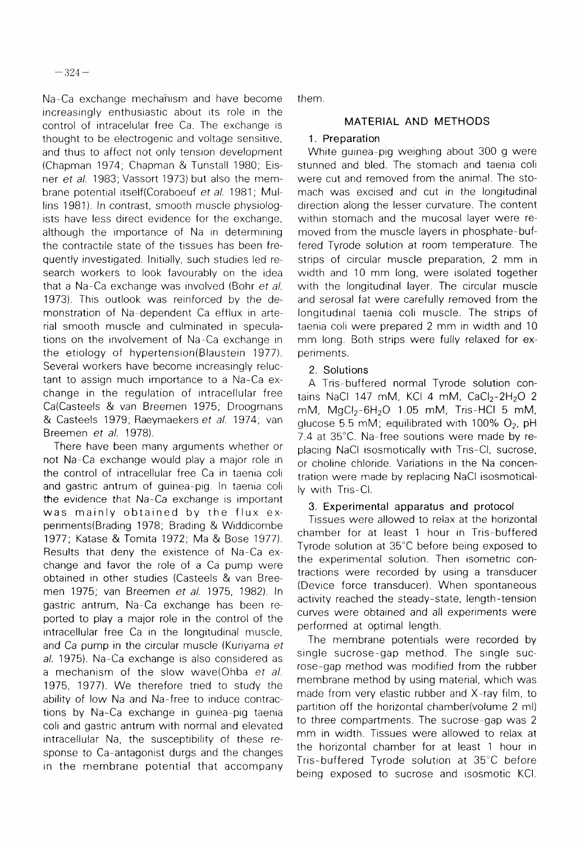Na-Ca exchange mechanism and have become increasingly enthusiastic about its role in the control of intracelular free Ca. The exchange is thought to be electrogenic and voltage sensitive, and thus to affect not only tension development (Chapman 1974; Chapman & Tunstall 1980; Eisner et al. 1983: Vassort 1973) but also the membrane potential itself(Coraboeuf et al. 1981; Mullins 1981). In contrast, smooth muscle physiologists have less direct evidence for the exchange, although the importance of Na in determining the contractile state of the tissues has been frequently investigated. Initially, such studies led research workers to look favourably on the idea that a Na-Ca exchange was involved (Bohr et al. 1973). This outlook was reinforced by the demonstration of Na-dependent Ca efflux in arterial smooth muscle and culminated in speculations on the involvement of Na-Ca exchange in the etiology of hypertension(Blaustein 1977). Several workers have become increasingly reluctant to assign much importance to a Na-Ca exchange in the regulation of intracellular free Ca(Casteels & van Breemen 1975; Droogmans & Casteels 1979; Raeymaekers et al. 1974; van Breemen et al. 1978).

There have been many arguments whether or not Na-Ca exchange would play a major role in the control of intracellular free Ca in taenia coli and gastric antrum of guinea-pig. In taenia coli the evidence that Na-Ca exchange is important was mainly obtained by the flux experiments(Brading 1978; Brading & Widdicombe 1977; Katase & Tomita 1972; Ma & Bose 1977). Results that deny the existence of Na-Ca exchange and favor the role of a Ca pump were obtained in other studies (Casteels & van Breemen 1975; van Breemen et al. 1975, 1982). In gastric antrum, Na-Ca exchange has been reported to play a major role in the control of the intracellular free Ca in the longitudinal muscle, and Ca pump in the circular muscle (Kuriyama et al. 1975). Na-Ca exchange is also considered as a mechanism of the slow wave(Ohba et al. 1975, 1977). We therefore tried to study the ability of low Na and Na-free to induce contractions by Na-Ca exchange in guinea-pig taenia coli and gastric antrum with normal and elevated intracellular Na, the susceptibility of these response to Ca-antagonist durgs and the changes in the membrane potential that accompany

them.

## MATERIAL AND METHODS

## 1. Preparation

White guinea-pig weighing about 300 g were stunned and bled. The stomach and taenia coli were cut and removed from the animal. The stomach was excised and cut in the longitudinal direction along the lesser curvature. The content within stomach and the mucosal layer were removed from the muscle layers in phosphate-buffered Tyrode solution at room temperature. The strips of circular muscle preparation, 2 mm in width and 10 mm long, were isolated together with the longitudinal layer. The circular muscle and serosal fat were carefully removed from the longitudinal taenia coli muscle. The strips of taenia coli were prepared 2 mm in width and 10 mm long. Both strips were fully relaxed for experiments.

# 2. Solutions

A Tris-buffered normal Tyrode solution contains NaCl 147 mM, KCl 4 mM, CaCl<sub>2</sub>-2H<sub>2</sub>O 2 mM, MgCl<sub>2</sub>-6H<sub>2</sub>O 1.05 mM, Tris-HCl 5 mM, glucose 5.5 mM; equilibrated with 100%  $O_2$ , pH 7.4 at 35°C. Na-free soutions were made by replacing NaCI isosmotically with Tris-CI, sucrose, or choline chloride. Variations in the Na concentration were made by replacing NaCl isosmotically with Tris-Cl.

## 3. Experimental apparatus and protocol

Tissues were allowed to relax at the horizontal chamber for at least 1 hour in Tris-buffered Tyrode solution at 35°C before being exposed to the experimental solution. Then isometric contractions were recorded by using a transducer (Device force transducer). When spontaneous activity reached the steady-state, length-tension curves were obtained and all experiments were performed at optimal length.

The membrane potentials were recorded by single sucrose-gap method. The single sucrose-gap method was modified from the rubber membrane method by using material, which was made from very elastic rubber and X-ray film, to partition off the horizontal chamber(volume 2 ml) to three compartments. The sucrose-gap was 2 mm in width. Tissues were allowed to relax at the horizontal chamber for at least 1 hour in Tris-buffered Tyrode solution at 35°C before being exposed to sucrose and isosmotic KCI.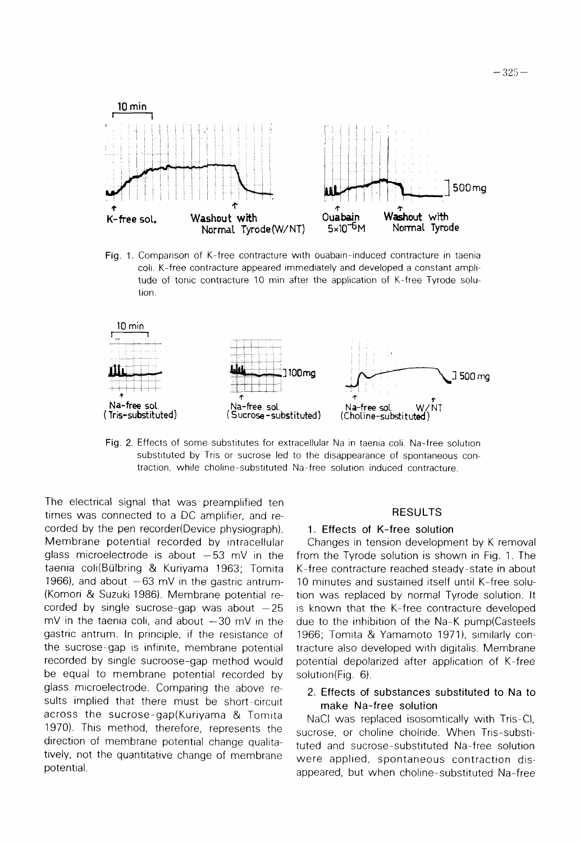

Fig. 1. Comparison of K-free contracture with ouabain-induced contracture in taenia coli. K-free contracture appeared immediately and developed a constant amplitude of tonic contracture 10 min after the application of K-free Tyrode solution.



Fig. 2. Effects of some substitutes for extracellular Na in taenia coli. Na-free solution substituted by Tris or sucrose led to the disappearance of spontaneous contraction, while choline-substituted Na-free solution induced contracture.

The electrical signal that was preamplified ten times was connected to a DC amplifier, and recorded by the pen recorder(Device physiograph). Membrane potential recorded by intracellular glass microelectrode is about -53 mV in the taenia coli(Bülbring & Kuriyama 1963; Tomita 1966), and about  $-63$  mV in the gastric antrum-(Komori & Suzuki 1986). Membrane potential recorded by single sucrose-gap was about  $-25$  $mV$  in the taenia coli, and about  $-30$  mV in the gastric antrum. In principle, if the resistance of the sucrose-gap is infinite, membrane potential recorded by single sucroose-gap method would be equal to membrane potential recorded by glass microelectrode. Comparing the above results implied that there must be short-circuit across the sucrose-gap(Kuriyama & Tomita 1970). This method, therefore, represents the direction of membrane potential change qualitatively, not the quantitative change of membrane potential.

### **RESULTS**

#### 1. Effects of K-free solution

Changes in tension development by K removal from the Tyrode solution is shown in Fig. 1. The K-free contracture reached steady-state in about 10 minutes and sustained itself until K-free solution was replaced by normal Tyrode solution. It is known that the K-free contracture developed due to the inhibition of the Na-K pump(Casteels 1966; Tomita & Yamamoto 1971), similarly contracture also developed with digitalis. Membrane potential depolarized after application of K-free solution(Fig. 6).

### 2. Effects of substances substituted to Na to make Na-free solution

NaCI was replaced isosomtically with Tris-CI, sucrose, or choline cholride. When Tris-substituted and sucrose-substituted Na-free solution were applied, spontaneous contraction disappeared, but when choline-substituted Na-free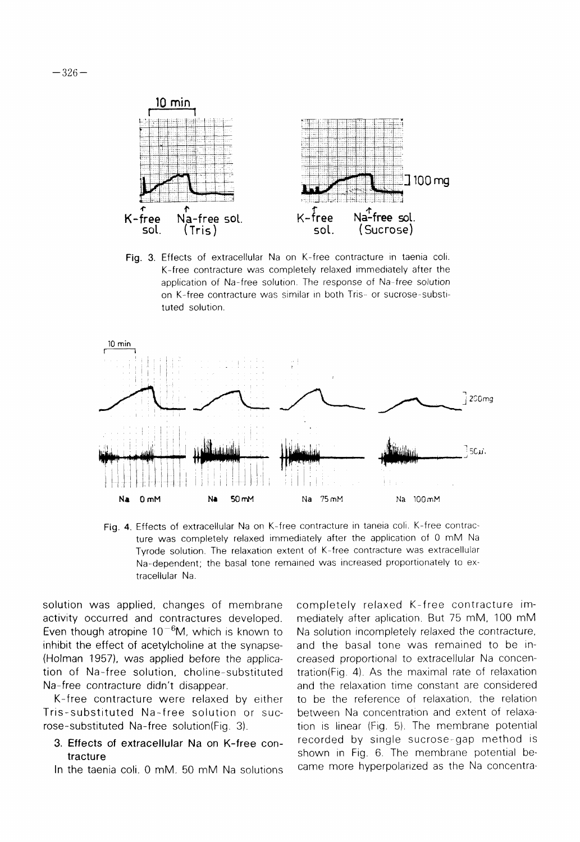

Fig. 3. Effects of extracellular Na on K-free contracture in taenia coli. K-free contracture was completely relaxed immediately after the application of Na-free solution. The response of Na-free solution on K-free contracture was similar in both Tris- or sucrose-substituted solution.



Fig. 4. Effects of extracellular Na on K-free contracture in taneia coli. K-free contracture was completely relaxed immediately after the application of 0 mM Na Tyrode solution. The relaxation extent of K-free contracture was extracellular Na-dependent; the basal tone remained was increased proportionately to extracellular Na.

solution was applied, changes of membrane activity occurred and contractures developed. Even though atropine  $10^{-6}$ M, which is known to inhibit the effect of acetylcholine at the synapse-(Holman 1957), was applied before the application of Na-free solution, choline-substituted Na-free contracture didn't disappear.

K-free contracture were relaxed by either Tris-substituted Na-free solution or sucrose-substituted Na-free solution(Fig. 3).

- 3. Effects of extracellular Na on K-free contracture
- In the taenia coli. 0 mM, 50 mM Na solutions

completely relaxed K-free contracture immediately after aplication. But 75 mM, 100 mM Na solution incompletely relaxed the contracture, and the basal tone was remained to be increased proportional to extracellular Na concentration(Fig. 4). As the maximal rate of relaxation and the relaxation time constant are considered to be the reference of relaxation, the relation between Na concentration and extent of relaxation is linear (Fig. 5). The membrane potential recorded by single sucrose-gap method is shown in Fig. 6. The membrane potential became more hyperpolarized as the Na concentra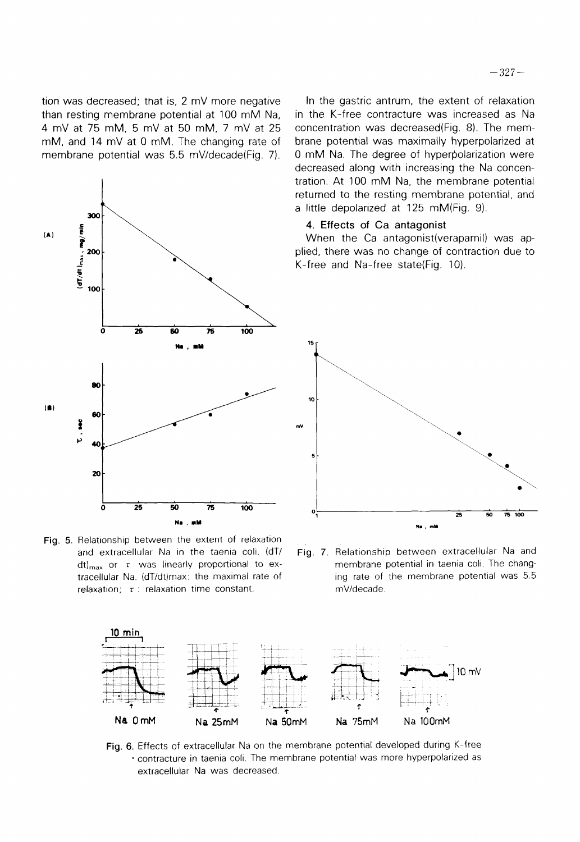4 mV at 75 mM, 5 mV at 50 mM, 7 mV at 25 mM, and 14 mV at 0 mM. The changing rate of membrane potential was 5.5 mV/decade(Fig. 7).



Fig. 5. Relationship between the extent of relaxation and extracellular Na in the taenia coli. (dT/ dt)<sub>max</sub> or  $\tau$  was linearly proportional to extracellular Na. (dT/dt)max: the maximal rate of relaxation;  $\tau$  : relaxation time constant.

In the gastric antrum, the extent of relaxation in the K-free contracture was increased as Na concentration was decreased (Fig. 8). The membrane potential was maximally hyperpolarized at 0 mM Na. The degree of hyperpolarization were decreased along with increasing the Na concentration. At 100 mM Na, the membrane potential returned to the resting membrane potential, and a little depolarized at 125 mM(Fig. 9).

#### 4. Effects of Ca antagonist

When the Ca antagonist(verapamil) was applied, there was no change of contraction due to K-free and Na-free state(Fig. 10).



Fig. 7. Relationship between extracellular Na and membrane potential in taenia coli. The changing rate of the membrane potential was 5.5 mV/decade.



Fig. 6. Effects of extracellular Na on the membrane potential developed during K-free · contracture in taenia coli. The membrane potential was more hyperpolarized as extracellular Na was decreased.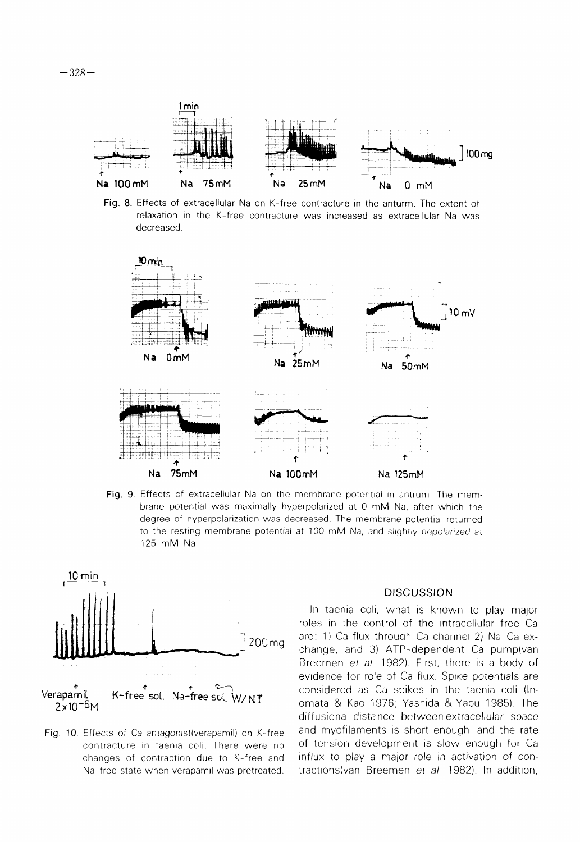

Fig. 8. Effects of extracellular Na on K-free contracture in the anturm. The extent of relaxation in the K-free contracture was increased as extracellular Na was decreased.



Fig. 9. Effects of extracellular Na on the membrane potential in antrum. The membrane potential was maximally hyperpolarized at 0 mM Na, after which the degree of hyperpolarization was decreased. The membrane potential returned to the resting membrane potential at 100 mM Na, and slightly depolarized at 125 mM Na.



Fig. 10. Effects of Ca antagonist (verapamil) on K-free contracture in taenia coli. There were no changes of contraction due to K-free and Na-free state when verapamil was pretreated.

#### **DISCUSSION**

In taenia coli, what is known to play major roles in the control of the intracellular free Ca are: 1) Ca flux through Ca channel 2) Na-Ca exchange, and 3) ATP-dependent Ca pump(van Breemen et al. 1982). First, there is a body of evidence for role of Ca flux. Spike potentials are considered as Ca spikes in the taenia coli (Inomata & Kao 1976; Yashida & Yabu 1985). The diffusional distance between extracellular space and myofilaments is short enough, and the rate of tension development is slow enough for Ca influx to play a major role in activation of contractions(van Breemen et al. 1982). In addition,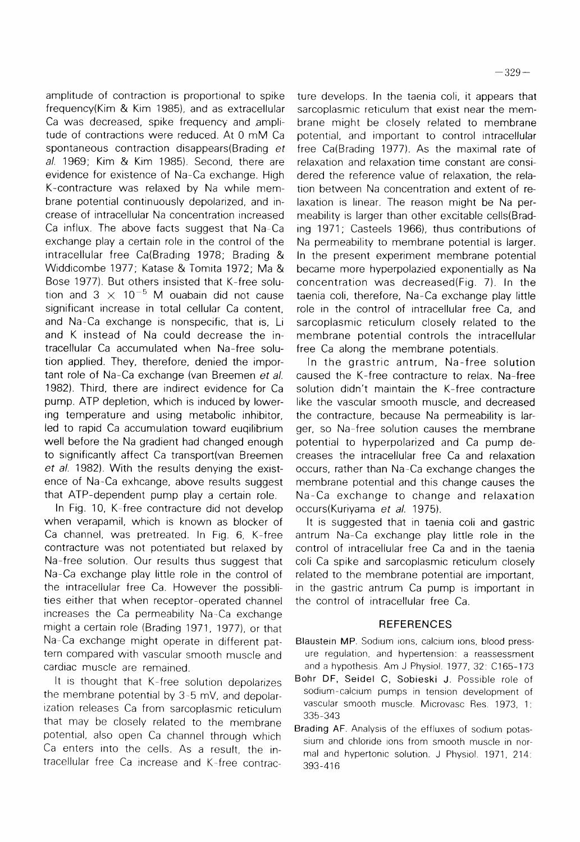amplitude of contraction is proportional to spike frequency(Kim & Kim 1985), and as extracellular Ca was decreased, spike frequency and amplitude of contractions were reduced. At 0 mM Ca spontaneous contraction disappears(Brading et al. 1969; Kim & Kim 1985). Second, there are evidence for existence of Na-Ca exchange. High K-contracture was relaxed by Na while membrane potential continuously depolarized, and increase of intracellular Na concentration increased Ca influx. The above facts suggest that Na-Ca exchange play a certain role in the control of the intracellular free Ca(Brading 1978; Brading & Widdicombe 1977; Katase & Tomita 1972; Ma & Bose 1977). But others insisted that K-free solution and  $3 \times 10^{-5}$  M ouabain did not cause significant increase in total cellular Ca content. and Na-Ca exchange is nonspecific, that is, Li and K instead of Na could decrease the intracellular Ca accumulated when Na-free solution applied. They, therefore, denied the important role of Na-Ca exchange (van Breemen et al. 1982). Third, there are indirect evidence for Ca pump. ATP depletion, which is induced by lowering temperature and using metabolic inhibitor. led to rapid Ca accumulation toward eugilibrium well before the Na gradient had changed enough to significantly affect Ca transport(van Breemen et al. 1982). With the results denying the existence of Na-Ca exhcange, above results suggest that ATP-dependent pump play a certain role.

In Fig. 10, K-free contracture did not develop when verapamil, which is known as blocker of Ca channel, was pretreated. In Fig. 6, K-free contracture was not potentiated but relaxed by Na-free solution. Our results thus suggest that Na-Ca exchange play little role in the control of the intracellular free Ca. However the possiblities either that when receptor-operated channel increases the Ca permeability Na-Ca exchange might a certain role (Brading 1971, 1977), or that Na-Ca exchange might operate in different pattern compared with vascular smooth muscle and cardiac muscle are remained.

It is thought that K-free solution depolarizes the membrane potential by 3-5 mV, and depolarization releases Ca from sarcoplasmic reticulum that may be closely related to the membrane potential, also open Ca channel through which Ca enters into the cells. As a result, the intracellular free Ca increase and K-free contrac-

ture develops. In the taenia coli, it appears that sarcoplasmic reticulum that exist near the membrane might be closely related to membrane potential, and important to control intracellular free Ca(Brading 1977). As the maximal rate of relaxation and relaxation time constant are considered the reference value of relaxation, the relation between Na concentration and extent of relaxation is linear. The reason might be Na permeability is larger than other excitable cells(Brading 1971; Casteels 1966), thus contributions of Na permeability to membrane potential is larger. In the present experiment membrane potential became more hyperpolazied exponentially as Na concentration was decreased(Fig. 7). In the taenia coli, therefore, Na-Ca exchange play little role in the control of intracellular free Ca, and sarcoplasmic reticulum closely related to the membrane potential controls the intracellular free Ca along the membrane potentials.

In the grastric antrum, Na-free solution caused the K-free contracture to relax. Na-free solution didn't maintain the K-free contracture like the vascular smooth muscle, and decreased the contracture, because Na permeability is larger, so Na-free solution causes the membrane potential to hyperpolarized and Ca pump decreases the intracellular free Ca and relaxation occurs, rather than Na-Ca exchange changes the membrane potential and this change causes the Na-Ca exchange to change and relaxation occurs(Kuriyama et al. 1975).

It is suggested that in taenia coli and gastric antrum Na-Ca exchange play little role in the control of intracellular free Ca and in the taenia coli Ca spike and sarcoplasmic reticulum closely related to the membrane potential are important, in the gastric antrum Ca pump is important in the control of intracellular free Ca.

## **REFERENCES**

- Blaustein MP. Sodium ions, calcium ions, blood pressure regulation, and hypertension: a reassessment and a hypothesis. Am J Physiol. 1977, 32: C165-173
- Bohr DF, Seidel C, Sobieski J. Possible role of sodium-calcium pumps in tension development of vascular smooth muscle. Microvasc Res. 1973, 1: 335-343
- Brading AF. Analysis of the effluxes of sodium potassium and chloride ions from smooth muscle in normal and hypertonic solution. J Physiol. 1971, 214: 393-416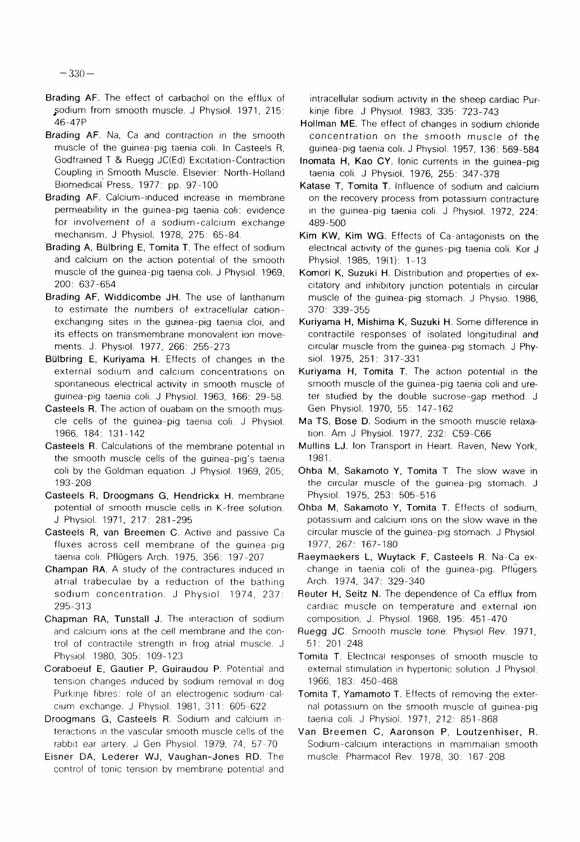$-330-$ 

- Brading AF. The effect of carbachol on the efflux of sodium from smooth muscle. J Physiol. 1971, 215: 46-47P
- Brading AF. Na, Ca and contraction in the smooth muscle of the guinea-pig taenia coli. In Casteels R, Godfrained T & Ruegg JC(Ed) Excitation-Contraction Coupling in Smooth Muscle. Elsevier: North-Holland Biomedical Press, 1977: pp. 97-100
- Brading AF. Calcium-induced increase in membrane permeability in the guinea-pig taenia coli: evidence for involvement of a sodium-calcium exchange mechanism. J Physiol. 1978, 275: 65-84.
- Brading A. Bülbring E. Tomita T. The effect of sodium and calcium on the action potential of the smooth muscle of the guinea-pig taenia coli. J Physiol. 1969, 200: 637-654
- Brading AF, Widdicombe JH. The use of lanthanum to estimate the numbers of extracellular cationexchanging sites in the guinea-pig taenia cloi, and its effects on transmembrane monovalent ion movements. J. Physiol. 1977, 266: 255-273
- Bülbring E, Kuriyama H. Effects of changes in the external sodium and calcium concentrations on spontaneous electrical activity in smooth muscle of guinea-pig taenia coli. J Physiol. 1963, 166: 29-58.
- Casteels R. The action of ouabain on the smooth muscle cells of the guinea-pig taenia coli. J Physiol. 1966. 184. 131-142
- Casteels R. Calculations of the membrane potential in the smooth muscle cells of the guinea-pig's taenia coli by the Goldman equation. J Physiol. 1969, 205; 193-208
- Casteels R, Droogmans G, Hendrickx H. membrane potential of smooth muscle cells in K-free solution. J Physiol. 1971, 217: 281-295
- Casteels R, van Breemen C. Active and passive Ca fluxes across cell membrane of the quinea-pig taenia coli. Pflügers Arch. 1975, 356: 197-207
- Champan RA. A study of the contractures induced in atrial trabeculae by a reduction of the bathing sodium concentration. J Physiol. 1974, 237: 295-313
- Chapman RA, Tunstall J. The interaction of sodium and calcium ions at the cell membrane and the control of contractile strength in frog atrial muscle. J Physiol. 1980, 305: 109-123
- Coraboeuf E, Gautier P, Guiraudou P. Potential and tension changes induced by sodium removal in dog Purkinje fibres: role of an electrogenic sodium-calcium exchange. J Physiol. 1981, 311: 605-622
- Droogmans G, Casteels R. Sodium and calcium interactions in the vascular smooth muscle cells of the rabbit ear artery. J Gen Physiol. 1979, 74; 57-70.
- Eisner DA, Lederer WJ, Vaughan-Jones RD. The control of tonic tension by membrane potential and

intracellular sodium activity in the sheep cardiac Purkinje fibre. J Physiol. 1983. 335: 723-743

- Hollman ME. The effect of changes in sodium chloride concentration on the smooth muscle of the guinea-pig taenia coli. J Physiol. 1957, 136: 569-584
- Inomata H, Kao CY, Ionic currents in the quinea-pig taenia coli. J Physiol. 1976, 255: 347-378
- Katase T, Tomita T. Influence of sodium and calcium on the recovery process from potassium contracture in the guinea-pig taenia coli. J Physiol. 1972, 224: 489-500
- Kim KW, Kim WG. Effects of Ca-antagonists on the electrical activity of the guines-pig taenia coli. Kor J Physiol. 1985, 19(1): 1-13
- Komori K, Suzuki H. Distribution and properties of excitatory and inhibitory junction potentials in circular muscle of the guinea-pig stomach. J Physio. 1986. 370: 339-355
- Kuriyama H, Mishima K, Suzuki H. Some difference in contractile responses of isolated longitudinal and circular muscle from the guinea-pig stomach. J Physiol. 1975, 251: 317-331
- Kuriyama H, Tomita T. The action potential in the smooth muscle of the guinea-pig taenia coli and ureter studied by the double sucrose-gap method. J Gen Physiol. 1970, 55: 147-162
- Ma TS, Bose D. Sodium in the smooth muscle relaxation. Am J Physiol. 1977, 232: C59-C66
- Mullins LJ. Ion Transport in Heart. Raven, New York, 1981.
- Ohba M, Sakamoto Y, Tomita T. The slow wave in the circular muscle of the quinea-pig stomach. J Physiol. 1975, 253: 505-516
- Ohba M, Sakamoto Y, Tomita T. Effects of sodium, potassium and calcium ions on the slow wave in the circular muscle of the guinea-pig stomach. J Physiol. 1977, 267: 167-180
- Raeymaekers L, Wuytack F, Casteels R. Na-Ca exchange in taenia coli of the guinea-pig. Pflugers Arch. 1974, 347: 329-340
- Reuter H, Seitz N. The dependence of Ca efflux from cardiac muscle on temperature and external ion composition. J. Physiol. 1968, 195: 451-470
- Ruegg JC. Smooth muscle tone. Physiol Rev. 1971,  $51:201 - 248$
- Tomita T. Electrical responses of smooth muscle to external stimulation in hypertonic solution. J Physiol. 1966, 183: 450-468
- Tomita T, Yamamoto T. Effects of removing the external potassium on the smooth muscle of guinea-pig taenia coli. J Physiol. 1971, 212: 851-868
- Van Breemen C, Aaronson P, Loutzenhiser, R. Sodium-calcium interactions in mammalian smooth muscle. Pharmacol Rev. 1978, 30: 167-208